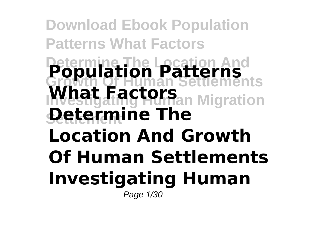**Download Ebook Population Patterns What Factors Determine The Location And Population Patterns Growth Of Human Settlements What Factors** Migration **Determine The Location And Growth Of Human Settlements Investigating Human** Page 1/30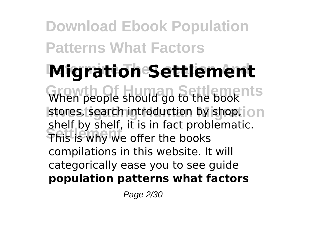# **Migration Settlement**

When people should go to the book stores, search introduction by shop, ion **Settlement** This is why we offer the books shelf by shelf, it is in fact problematic. compilations in this website. It will categorically ease you to see guide **population patterns what factors**

Page 2/30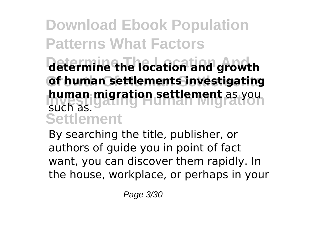## **Determine The Location And determine the location and growth Growth Of Human Settlements of human settlements investigating human migration settlement** as you **Settlement** such as.

By searching the title, publisher, or authors of guide you in point of fact want, you can discover them rapidly. In the house, workplace, or perhaps in your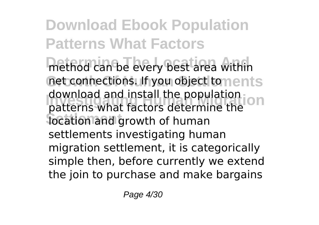**Download Ebook Population Patterns What Factors** method can be every best area within net connections. If you object to nents download and install the population<br>natterns what factors determine the **Settlement** location and growth of human patterns what factors determine the settlements investigating human migration settlement, it is categorically simple then, before currently we extend the join to purchase and make bargains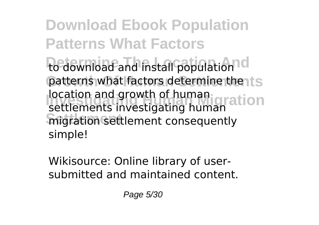**Download Ebook Population Patterns What Factors** to download and install population<sup>1</sup>d patterns what factors determine the its **Iocation and growth of human gration Settlement** migration settlement consequently settlements investigating human simple!

Wikisource: Online library of usersubmitted and maintained content.

Page 5/30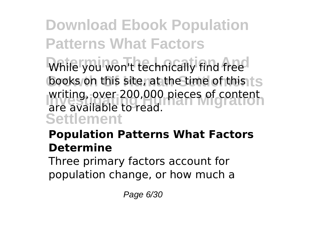While you won't technically find free books on this site, at the time of this ts writing, over 200,000 pieces of content<br>Pre-available to read **Settlement** are available to read.

### **Population Patterns What Factors Determine**

Three primary factors account for population change, or how much a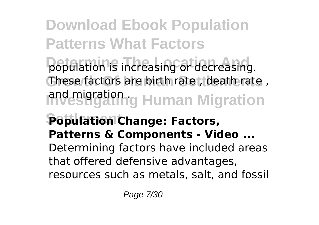population is increasing or decreasing. **Growth Of Human Settlements** These factors are birth rate , death rate , and migration g Human Migration

# **Settlement Population Change: Factors, Patterns & Components - Video ...**

Determining factors have included areas that offered defensive advantages,

resources such as metals, salt, and fossil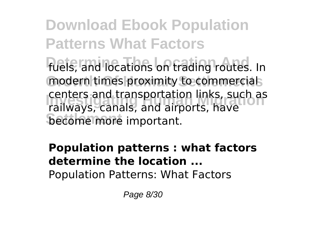**Download Ebook Population Patterns What Factors** fuels, and locations on trading routes. In modern times proximity to commercials **Investigating Human Migration** railways, canals, and airports, have **become more important.** centers and transportation links, such as

#### **Population patterns : what factors determine the location ...** Population Patterns: What Factors

Page 8/30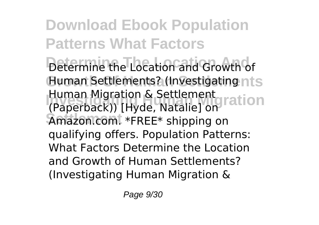**Download Ebook Population Patterns What Factors Determine The Location And** Determine the Location and Growth of **Human Settlements? (Investigating nts Indian Migration & Settlement**<br>(Panetback)) I Hyde Nataliel on Lation **Settlement** Amazon.com. \*FREE\* shipping on (Paperback)) [Hyde, Natalie] on qualifying offers. Population Patterns: What Factors Determine the Location and Growth of Human Settlements? (Investigating Human Migration &

Page 9/30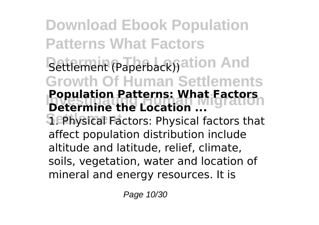**Download Ebook Population Patterns What Factors** Settlement (Paperback)) ation And **Growth Of Human Settlements Population Patterns: what Pactors Sephysical Factors: Physical factors that Population Patterns: What Factors** affect population distribution include altitude and latitude, relief, climate, soils, vegetation, water and location of mineral and energy resources. It is

Page 10/30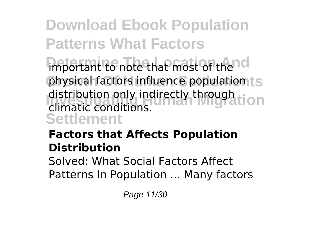important to note that most of the<sup>nd</sup> physical factors influence population ts distribution only indirectly through **idea**<br>climatic conditions **Settlement** climatic conditions.

# **Factors that Affects Population Distribution**

Solved: What Social Factors Affect Patterns In Population ... Many factors

Page 11/30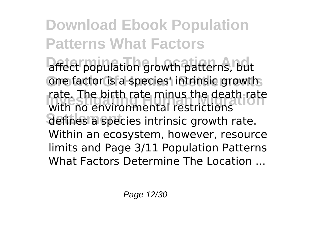**Download Ebook Population Patterns What Factors** affect population growth patterns, but one factor is a species' intrinsic growths **Investigating Human Migration** with no environmental restrictions defines a species intrinsic growth rate. rate. The birth rate minus the death rate Within an ecosystem, however, resource limits and Page 3/11 Population Patterns What Factors Determine The Location ...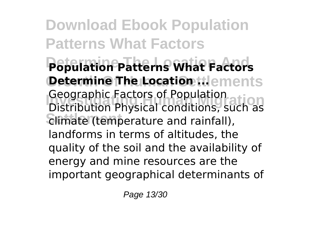**Download Ebook Population Patterns What Factors Determine The Location And Population Patterns What Factors Determine The Location tilements Investigating Human Migration** Distribution Physical conditions, such as **Settlement** climate (temperature and rainfall), Geographic Factors of Population landforms in terms of altitudes, the quality of the soil and the availability of energy and mine resources are the important geographical determinants of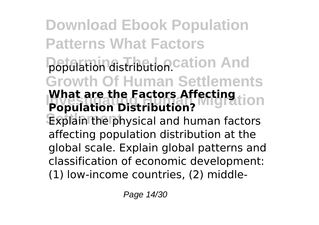**Download Ebook Population Patterns What Factors** population distribution cation And **Growth Of Human Settlements What are the Factors Affecting Lion** Explain the physical and human factors **Population Distribution?** affecting population distribution at the global scale. Explain global patterns and classification of economic development: (1) low-income countries, (2) middle-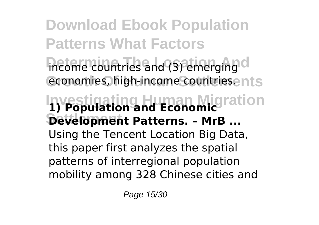**Download Ebook Population Patterns What Factors** income countries and (3) emerging d economies, high-income countriesents **Investigating Human Migration 1) Population and Economic Settlement Development Patterns. – MrB ...** Using the Tencent Location Big Data, this paper first analyzes the spatial patterns of interregional population mobility among 328 Chinese cities and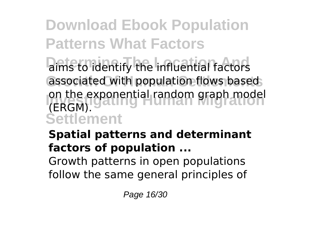aims to identify the influential factors associated with population flows based on the exponential random graph model<br> *IEBCM* **Settlement** (ERGM).

# **Spatial patterns and determinant factors of population ...**

Growth patterns in open populations follow the same general principles of

Page 16/30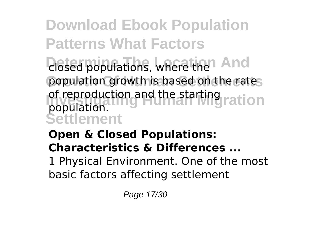**Download Ebook Population Patterns What Factors** *<u>Diosed</u>* populations, where the And population growth is based on the rates of reproduction and the starting ration

**Settlement** population.

**Open & Closed Populations: Characteristics & Differences ...** 1 Physical Environment. One of the most basic factors affecting settlement

Page 17/30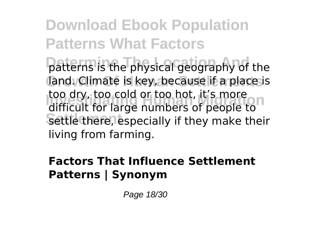**Download Ebook Population Patterns What Factors** patterns is the physical geography of the **Growth Of Human Settlements** land. Climate is key, because if a place is **Investigation**<br>Internal too large numbers of people to Settle there, especially if they make their difficult for large numbers of people to living from farming.

#### **Factors That Influence Settlement Patterns | Synonym**

Page 18/30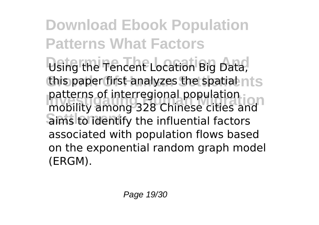**Download Ebook Population Patterns What Factors** Using the Tencent Location Big Data, this paper first analyzes the spatial nts **Investigating Human Migration** mobility among 328 Chinese cities and **Sims to identify the influential factors** patterns of interregional population associated with population flows based on the exponential random graph model (ERGM).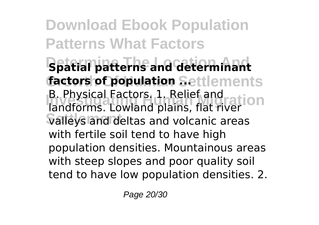**Download Ebook Population Patterns What Factors Determine The Location And Spatial patterns and determinant factors of population Settlements B. Physical Factors. 1. Relief and Migration Settlement** valleys and deltas and volcanic areas landforms. Lowland plains, flat river with fertile soil tend to have high population densities. Mountainous areas with steep slopes and poor quality soil tend to have low population densities. 2.

Page 20/30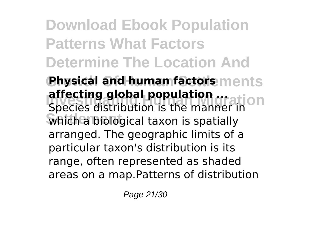**Download Ebook Population Patterns What Factors Determine The Location And**

**Physical and human factors ments Investigation affecting global population ...**<br>Species distribution is the manuation **Settlement** which a biological taxon is spatially Species distribution is the manner in arranged. The geographic limits of a particular taxon's distribution is its range, often represented as shaded areas on a map.Patterns of distribution

Page 21/30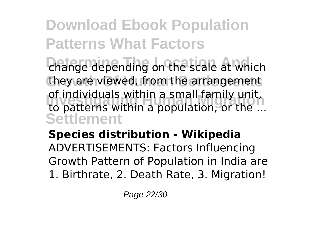change depending on the scale at which they are viewed, from the arrangement or individuals within a small family unit,<br>to patterns within a population, or the ... **Settlement** of individuals within a small family unit,

#### **Species distribution - Wikipedia** ADVERTISEMENTS: Factors Influencing Growth Pattern of Population in India are 1. Birthrate, 2. Death Rate, 3. Migration!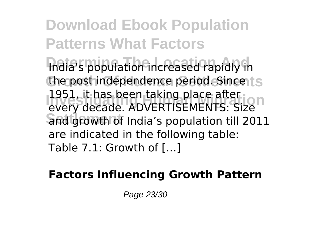**Download Ebook Population Patterns What Factors** India's population increased rapidly in the post independence period. Since ts **Investigating Human Migration** every decade. ADVERTISEMENTS: Size **Settlement** and growth of India's population till 2011 1951, it has been taking place after are indicated in the following table: Table 7.1: Growth of […]

#### **Factors Influencing Growth Pattern**

Page 23/30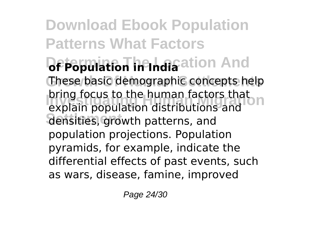**Download Ebook Population Patterns What Factors Depopulation in India**ation And These basic demographic concepts help **Investigation** bring focus to the human factors that **Settlement** densities, growth patterns, and explain population distributions and population projections. Population pyramids, for example, indicate the differential effects of past events, such as wars, disease, famine, improved

Page 24/30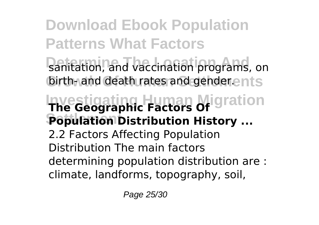**Download Ebook Population Patterns What Factors** sanitation, and vaccination programs, on birth- and death rates and gender.ents **Investigating Human Migration The Geographic Factors Of Population Distribution History ...** 2.2 Factors Affecting Population Distribution The main factors determining population distribution are : climate, landforms, topography, soil,

Page 25/30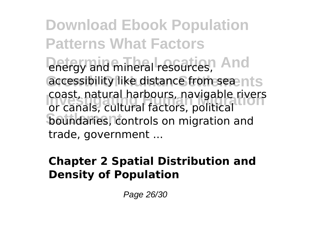**Download Ebook Population Patterns What Factors Drefgy and mineral resources, And** accessibility like distance from sea nts **Coast, natural harbours, navigable rivers**<br>
or canals, cultural factors, nolitical **boundaries, controls on migration and** or canals, cultural factors, political trade, government ...

### **Chapter 2 Spatial Distribution and Density of Population**

Page 26/30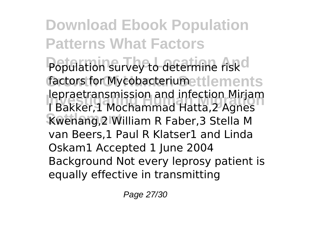**Download Ebook Population Patterns What Factors** Population survey to determine risk<sup>d</sup> factors for Mycobacterium ettlements **Iepraetransmission and infection Mirjam**<br>LBakker 1 Mochammad Hatta 2 Agnes **Settlement** Kwenang,2 William R Faber,3 Stella M I Bakker,1 Mochammad Hatta,2 Agnes van Beers,1 Paul R Klatser1 and Linda Oskam1 Accepted 1 June 2004 Background Not every leprosy patient is equally effective in transmitting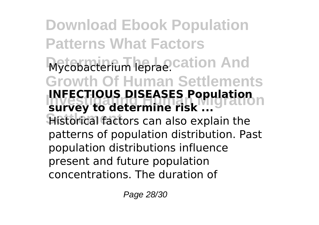**Download Ebook Population Patterns What Factors** Mycobacterium leprae.cation And **Growth Of Human Settlements INFECTIOUS DISEASES Population Historical factors can also explain the survey to determine risk ...** patterns of population distribution. Past population distributions influence present and future population concentrations. The duration of

Page 28/30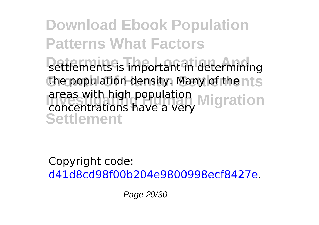**Download Ebook Population Patterns What Factors** settlements is important in determining the population density. Many of thents areas with high population<br>concentrations have a very Migration **Settlement** concentrations have a very

Copyright code: [d41d8cd98f00b204e9800998ecf8427e.](/sitemap.xml)

Page 29/30